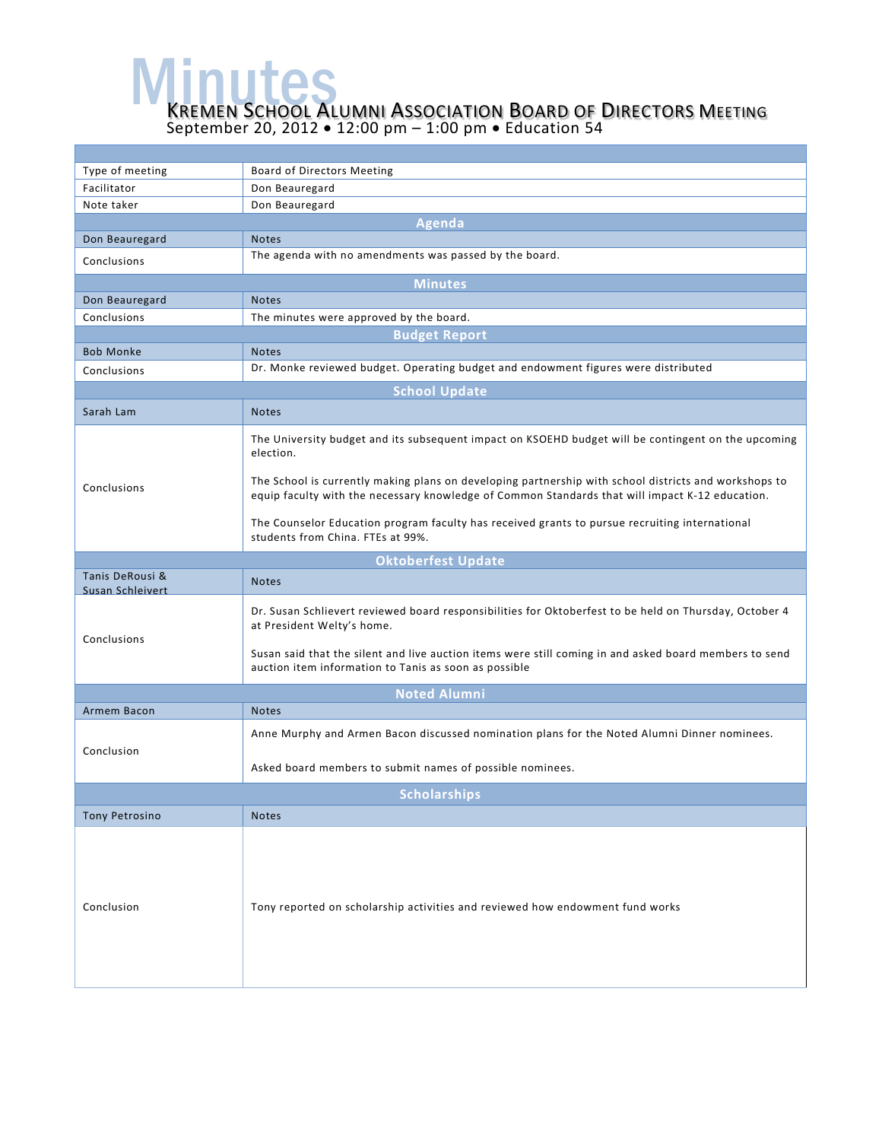**MENUTES**<br>KREMEN SCHOOL ALUMNI ASSOCIATION BOARD OF DIRECTORS MEETING September 20, 2012 • 12:00 pm – 1:00 pm • Education 54

| Type of meeting                            | Board of Directors Meeting                                                                                                                                                                               |  |  |
|--------------------------------------------|----------------------------------------------------------------------------------------------------------------------------------------------------------------------------------------------------------|--|--|
| Facilitator                                | Don Beauregard                                                                                                                                                                                           |  |  |
| Note taker                                 | Don Beauregard                                                                                                                                                                                           |  |  |
| <b>Agenda</b>                              |                                                                                                                                                                                                          |  |  |
| Don Beauregard                             | <b>Notes</b>                                                                                                                                                                                             |  |  |
| Conclusions                                | The agenda with no amendments was passed by the board.                                                                                                                                                   |  |  |
| <b>Minutes</b>                             |                                                                                                                                                                                                          |  |  |
| Don Beauregard                             | <b>Notes</b>                                                                                                                                                                                             |  |  |
| Conclusions                                | The minutes were approved by the board.                                                                                                                                                                  |  |  |
| <b>Budget Report</b>                       |                                                                                                                                                                                                          |  |  |
| <b>Bob Monke</b>                           | <b>Notes</b>                                                                                                                                                                                             |  |  |
| Conclusions                                | Dr. Monke reviewed budget. Operating budget and endowment figures were distributed                                                                                                                       |  |  |
|                                            |                                                                                                                                                                                                          |  |  |
|                                            | <b>School Update</b>                                                                                                                                                                                     |  |  |
| Sarah Lam                                  | <b>Notes</b>                                                                                                                                                                                             |  |  |
| Conclusions                                | The University budget and its subsequent impact on KSOEHD budget will be contingent on the upcoming<br>election.                                                                                         |  |  |
|                                            | The School is currently making plans on developing partnership with school districts and workshops to<br>equip faculty with the necessary knowledge of Common Standards that will impact K-12 education. |  |  |
|                                            | The Counselor Education program faculty has received grants to pursue recruiting international<br>students from China. FTEs at 99%.                                                                      |  |  |
|                                            | <b>Oktoberfest Update</b>                                                                                                                                                                                |  |  |
| Tanis DeRousi &<br><b>Susan Schleivert</b> | <b>Notes</b>                                                                                                                                                                                             |  |  |
| Conclusions                                | Dr. Susan Schlievert reviewed board responsibilities for Oktoberfest to be held on Thursday, October 4<br>at President Welty's home.                                                                     |  |  |
|                                            | Susan said that the silent and live auction items were still coming in and asked board members to send<br>auction item information to Tanis as soon as possible                                          |  |  |
| <b>Noted Alumni</b>                        |                                                                                                                                                                                                          |  |  |
| Armem Bacon                                | <b>Notes</b>                                                                                                                                                                                             |  |  |
| Conclusion                                 | Anne Murphy and Armen Bacon discussed nomination plans for the Noted Alumni Dinner nominees.                                                                                                             |  |  |
|                                            | Asked board members to submit names of possible nominees.                                                                                                                                                |  |  |
| <b>Scholarships</b>                        |                                                                                                                                                                                                          |  |  |
| <b>Tony Petrosino</b>                      | <b>Notes</b>                                                                                                                                                                                             |  |  |
| Conclusion                                 | Tony reported on scholarship activities and reviewed how endowment fund works                                                                                                                            |  |  |